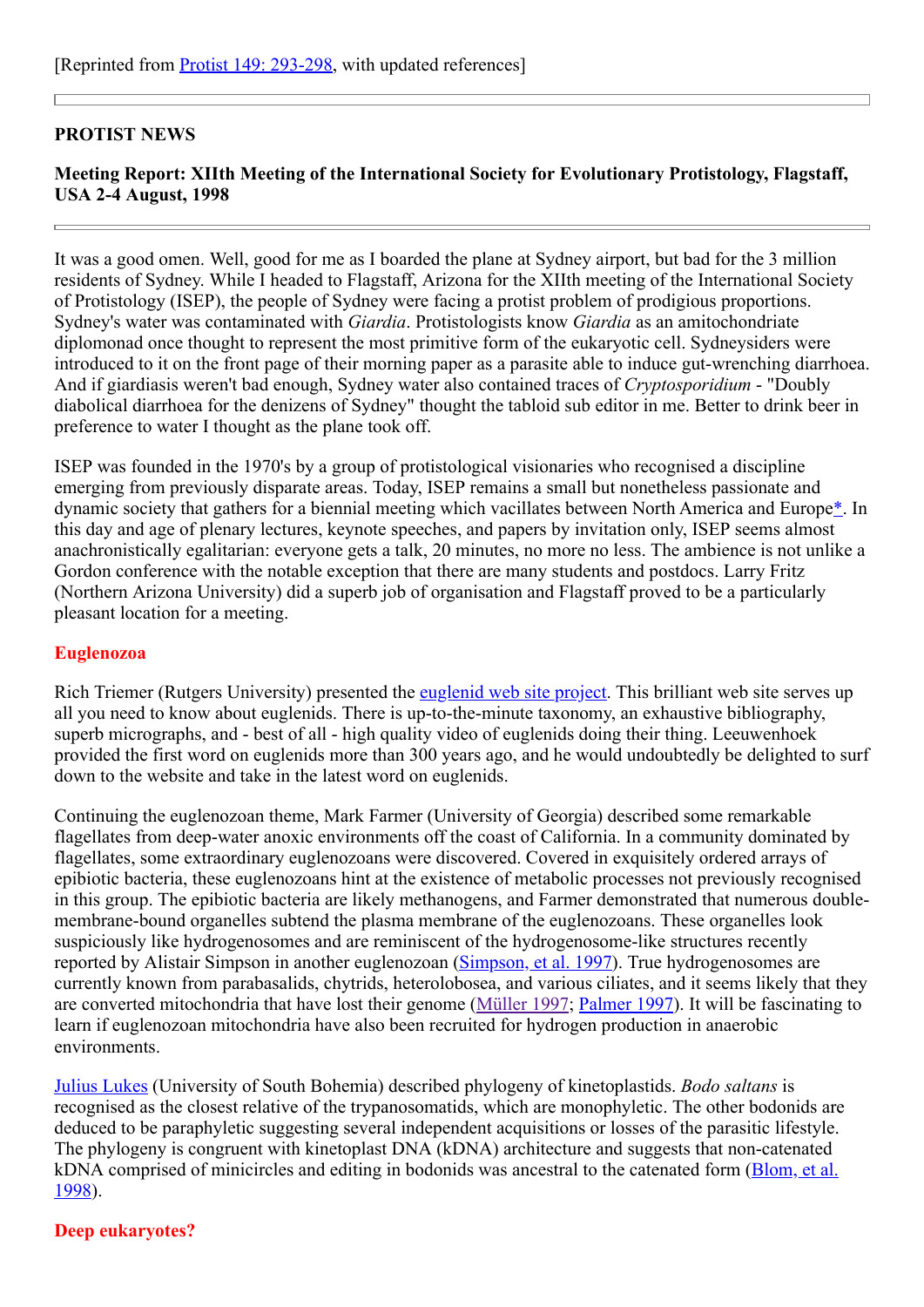## **PROTIST NEWS**

## **Meeting Report: XIIth Meeting of the International Society for Evolutionary Protistology, Flagstaff, USA 2-4 August, 1998**

It was a good omen. Well, good for me as I boarded the plane at Sydney airport, but bad for the 3 million residents of Sydney. While I headed to Flagstaff, Arizona for the XIIth meeting of the International Society of Protistology (ISEP), the people of Sydney were facing a protist problem of prodigious proportions. Sydney's water was contaminated with *Giardia*. Protistologists know *Giardia* as an amitochondriate diplomonad once thought to represent the most primitive form of the eukaryotic cell. Sydneysiders were introduced to it on the front page of their morning paper as a parasite able to induce gut-wrenching diarrhoea. And if giardiasis weren't bad enough, Sydney water also contained traces of *Cryptosporidium* - "Doubly diabolical diarrhoea for the denizens of Sydney" thought the tabloid sub editor in me. Better to drink beer in preference to water I thought as the plane took off.

ISEP was founded in the 1970's by a group of protistological visionaries who recognised a discipline emerging from previously disparate areas. Today, ISEP remains a small but nonetheless passionate and dynamic society that gathers for a biennial meeting which vacillates between North America and Europe[\\*](http://megasun.bch.umontreal.ca/isep/protista.html#next). In this day and age of plenary lectures, keynote speeches, and papers by invitation only, ISEP seems almost anachronistically egalitarian: everyone gets a talk, 20 minutes, no more no less. The ambience is not unlike a Gordon conference with the notable exception that there are many students and postdocs. Larry Fritz (Northern Arizona University) did a superb job of organisation and Flagstaff proved to be a particularly pleasant location for a meeting.

#### **Euglenozoa**

Rich Triemer (Rutgers University) presented the [euglenid web site project.](http://lifesci.rutgers.edu/~triemer/index.htm) This brilliant web site serves up all you need to know about euglenids. There is up-to-the-minute taxonomy, an exhaustive bibliography, superb micrographs, and - best of all - high quality video of euglenids doing their thing. Leeuwenhoek provided the first word on euglenids more than 300 years ago, and he would undoubtedly be delighted to surf down to the website and take in the latest word on euglenids.

Continuing the euglenozoan theme, Mark Farmer (University of Georgia) described some remarkable flagellates from deep-water anoxic environments off the coast of California. In a community dominated by flagellates, some extraordinary euglenozoans were discovered. Covered in exquisitely ordered arrays of epibiotic bacteria, these euglenozoans hint at the existence of metabolic processes not previously recognised in this group. The epibiotic bacteria are likely methanogens, and Farmer demonstrated that numerous doublemembrane-bound organelles subtend the plasma membrane of the euglenozoans. These organelles look suspiciously like hydrogenosomes and are reminiscent of the hydrogenosome-like structures recently reported by Alistair Simpson in another euglenozoan ([Simpson, et al. 1997](http://megasun.bch.umontreal.ca/isep/protista.html#Simpson)). True hydrogenosomes are currently known from parabasalids, chytrids, heterolobosea, and various ciliates, and it seems likely that they are converted mitochondria that have lost their genome ([Müller 1997;](http://megasun.bch.umontreal.ca/isep/protista.html#Muller) [Palmer 1997](http://megasun.bch.umontreal.ca/isep/protista.html#Palmer)). It will be fascinating to learn if euglenozoan mitochondria have also been recruited for hydrogen production in anaerobic environments.

[Julius Lukes](http://megasun.bch.umontreal.ca/isep/protista.html#next) (University of South Bohemia) described phylogeny of kinetoplastids. *Bodo saltans* is recognised as the closest relative of the trypanosomatids, which are monophyletic. The other bodonids are deduced to be paraphyletic suggesting several independent acquisitions or losses of the parasitic lifestyle. The phylogeny is congruent with kinetoplast DNA (kDNA) architecture and suggests that non-catenated [kDNA comprised of minicircles and editing in bodonids was ancestral to the catenated form \(Blom, et al.](http://megasun.bch.umontreal.ca/isep/protista.html#Blom) 1998).

#### **Deep eukaryotes?**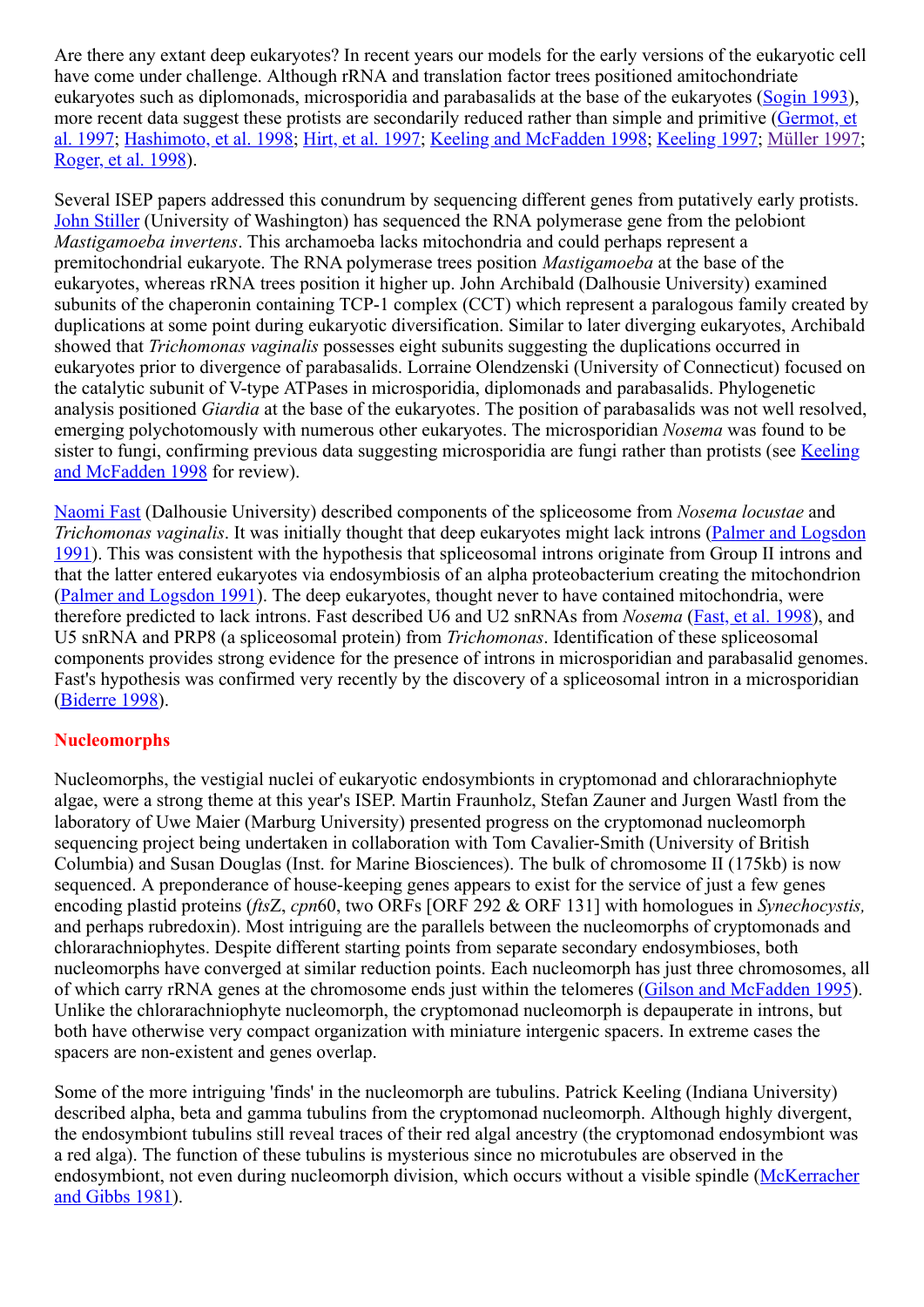Are there any extant deep eukaryotes? In recent years our models for the early versions of the eukaryotic cell have come under challenge. Although rRNA and translation factor trees positioned amitochondriate eukaryotes such as diplomonads, microsporidia and parabasalids at the base of the eukaryotes ([Sogin 1993\)](http://megasun.bch.umontreal.ca/isep/protista.html#Sogin), more recent data suggest these protists are secondarily reduced rather than simple and primitive (Germot, et [al. 1997; Hashimoto, et al. 1998; Hirt, et al. 1997; Keeling and McFadden 1998; Keeling 1997; Müller 199](http://megasun.bch.umontreal.ca/isep/protista.html#Germot)[7](http://megasun.bch.umontreal.ca/isep/protista.html#Muller); [Roger, et al. 1998\)](http://megasun.bch.umontreal.ca/isep/protista.html#Roger).

Several ISEP papers addressed this conundrum by sequencing different genes from putatively early protists. [John Stiller](http://www.ncbi.nlm.nih.gov/htbin-post/Entrez/query?uid=9751740&form=6&db=m&Dopt=b) (University of Washington) has sequenced the RNA polymerase gene from the pelobiont *Mastigamoeba invertens*. This archamoeba lacks mitochondria and could perhaps represent a premitochondrial eukaryote. The RNA polymerase trees position *Mastigamoeba* at the base of the eukaryotes, whereas rRNA trees position it higher up. John Archibald (Dalhousie University) examined subunits of the chaperonin containing TCP-1 complex (CCT) which represent a paralogous family created by duplications at some point during eukaryotic diversification. Similar to later diverging eukaryotes, Archibald showed that *Trichomonas vaginalis* possesses eight subunits suggesting the duplications occurred in eukaryotes prior to divergence of parabasalids. Lorraine Olendzenski (University of Connecticut) focused on the catalytic subunit of V-type ATPases in microsporidia, diplomonads and parabasalids. Phylogenetic analysis positioned *Giardia* at the base of the eukaryotes. The position of parabasalids was not well resolved, emerging polychotomously with numerous other eukaryotes. The microsporidian *Nosema* was found to be [sister to fungi, confirming previous data suggesting microsporidia are fungi rather than protists \(see Keeling](http://megasun.bch.umontreal.ca/isep/protista.html#KM) and McFadden 1998 for review).

[Naomi Fast](http://megasun.bch.umontreal.ca/isep/protista.html#Fast) (Dalhousie University) described components of the spliceosome from *Nosema locustae* and *Trichomonas vaginalis*. It was initially thought that deep eukaryotes might lack introns (Palmer and Logsdon [1991\). This was consistent with the hypothesis that spliceosomal introns originate from Group II introns and](http://megasun.bch.umontreal.ca/isep/protista.html#PL) that the latter entered eukaryotes via endosymbiosis of an alpha proteobacterium creating the mitochondrion [\(Palmer and Logsdon 1991\)](http://megasun.bch.umontreal.ca/isep/protista.html#PL). The deep eukaryotes, thought never to have contained mitochondria, were therefore predicted to lack introns. Fast described U6 and U2 snRNAs from *Nosema* [\(Fast, et al. 1998](http://megasun.bch.umontreal.ca/isep/protista.html#Fast)), and U5 snRNA and PRP8 (a spliceosomal protein) from *Trichomonas*. Identification of these spliceosomal components provides strong evidence for the presence of introns in microsporidian and parabasalid genomes. Fast's hypothesis was confirmed very recently by the discovery of a spliceosomal intron in a microsporidian [\(Biderre 1998](http://megasun.bch.umontreal.ca/isep/protista.html#Biderre)).

### **Nucleomorphs**

Nucleomorphs, the vestigial nuclei of eukaryotic endosymbionts in cryptomonad and chlorarachniophyte algae, were a strong theme at this year's ISEP. Martin Fraunholz, Stefan Zauner and Jurgen Wastl from the laboratory of Uwe Maier (Marburg University) presented progress on the cryptomonad nucleomorph sequencing project being undertaken in collaboration with Tom Cavalier-Smith (University of British Columbia) and Susan Douglas (Inst. for Marine Biosciences). The bulk of chromosome II (175kb) is now sequenced. A preponderance of house-keeping genes appears to exist for the service of just a few genes encoding plastid proteins (*fts*Z, *cpn*60, two ORFs [ORF 292 & ORF 131] with homologues in *Synechocystis,* and perhaps rubredoxin). Most intriguing are the parallels between the nucleomorphs of cryptomonads and chlorarachniophytes. Despite different starting points from separate secondary endosymbioses, both nucleomorphs have converged at similar reduction points. Each nucleomorph has just three chromosomes, all of which carry rRNA genes at the chromosome ends just within the telomeres [\(Gilson and McFadden 1995](http://megasun.bch.umontreal.ca/isep/protista.html#Gilson)). Unlike the chlorarachniophyte nucleomorph, the cryptomonad nucleomorph is depauperate in introns, but both have otherwise very compact organization with miniature intergenic spacers. In extreme cases the spacers are non-existent and genes overlap.

Some of the more intriguing 'finds' in the nucleomorph are tubulins. Patrick Keeling (Indiana University) described alpha, beta and gamma tubulins from the cryptomonad nucleomorph. Although highly divergent, the endosymbiont tubulins still reveal traces of their red algal ancestry (the cryptomonad endosymbiont was a red alga). The function of these tubulins is mysterious since no microtubules are observed in the [endosymbiont, not even during nucleomorph division, which occurs without a visible spindle \(McKerracher](http://megasun.bch.umontreal.ca/isep/protista.html#McKerracher) and Gibbs 1981).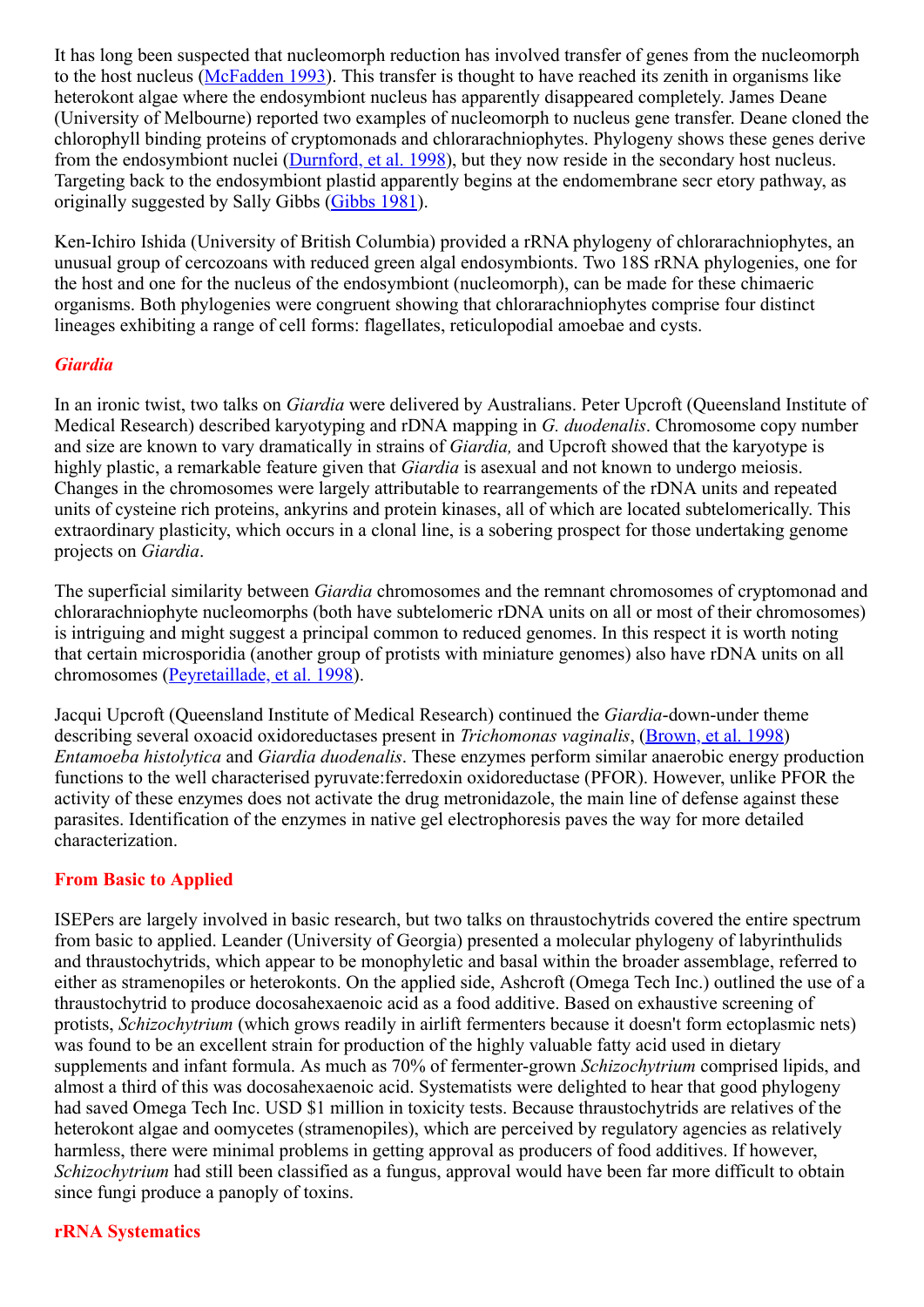It has long been suspected that nucleomorph reduction has involved transfer of genes from the nucleomorph to the host nucleus ([McFadden 1993](http://megasun.bch.umontreal.ca/isep/protista.html#McFadden)). This transfer is thought to have reached its zenith in organisms like heterokont algae where the endosymbiont nucleus has apparently disappeared completely. James Deane (University of Melbourne) reported two examples of nucleomorph to nucleus gene transfer. Deane cloned the chlorophyll binding proteins of cryptomonads and chlorarachniophytes. Phylogeny shows these genes derive from the endosymbiont nuclei ([Durnford, et al. 1998](http://megasun.bch.umontreal.ca/isep/protista.html#Durnford)), but they now reside in the secondary host nucleus. Targeting back to the endosymbiont plastid apparently begins at the endomembrane secr etory pathway, as originally suggested by Sally Gibbs ([Gibbs 1981](http://megasun.bch.umontreal.ca/isep/protista.html#Gibbs)).

Ken-Ichiro Ishida (University of British Columbia) provided a rRNA phylogeny of chlorarachniophytes, an unusual group of cercozoans with reduced green algal endosymbionts. Two 18S rRNA phylogenies, one for the host and one for the nucleus of the endosymbiont (nucleomorph), can be made for these chimaeric organisms. Both phylogenies were congruent showing that chlorarachniophytes comprise four distinct lineages exhibiting a range of cell forms: flagellates, reticulopodial amoebae and cysts.

## *Giardia*

In an ironic twist, two talks on *Giardia* were delivered by Australians. Peter Upcroft (Queensland Institute of Medical Research) described karyotyping and rDNA mapping in *G. duodenalis*. Chromosome copy number and size are known to vary dramatically in strains of *Giardia,* and Upcroft showed that the karyotype is highly plastic, a remarkable feature given that *Giardia* is asexual and not known to undergo meiosis. Changes in the chromosomes were largely attributable to rearrangements of the rDNA units and repeated units of cysteine rich proteins, ankyrins and protein kinases, all of which are located subtelomerically. This extraordinary plasticity, which occurs in a clonal line, is a sobering prospect for those undertaking genome projects on *Giardia*.

The superficial similarity between *Giardia* chromosomes and the remnant chromosomes of cryptomonad and chlorarachniophyte nucleomorphs (both have subtelomeric rDNA units on all or most of their chromosomes) is intriguing and might suggest a principal common to reduced genomes. In this respect it is worth noting that certain microsporidia (another group of protists with miniature genomes) also have rDNA units on all chromosomes ([Peyretaillade, et al. 1998\)](http://megasun.bch.umontreal.ca/isep/protista.html#Pey).

Jacqui Upcroft (Queensland Institute of Medical Research) continued the *Giardia*-down-under theme describing several oxoacid oxidoreductases present in *Trichomonas vaginalis*, [\(Brown, et al. 1998](http://megasun.bch.umontreal.ca/isep/protista.html#Brown)) *Entamoeba histolytica* and *Giardia duodenalis*. These enzymes perform similar anaerobic energy production functions to the well characterised pyruvate:ferredoxin oxidoreductase (PFOR). However, unlike PFOR the activity of these enzymes does not activate the drug metronidazole, the main line of defense against these parasites. Identification of the enzymes in native gel electrophoresis paves the way for more detailed characterization.

# **From Basic to Applied**

ISEPers are largely involved in basic research, but two talks on thraustochytrids covered the entire spectrum from basic to applied. Leander (University of Georgia) presented a molecular phylogeny of labyrinthulids and thraustochytrids, which appear to be monophyletic and basal within the broader assemblage, referred to either as stramenopiles or heterokonts. On the applied side, Ashcroft (Omega Tech Inc.) outlined the use of a thraustochytrid to produce docosahexaenoic acid as a food additive. Based on exhaustive screening of protists, *Schizochytrium* (which grows readily in airlift fermenters because it doesn't form ectoplasmic nets) was found to be an excellent strain for production of the highly valuable fatty acid used in dietary supplements and infant formula. As much as 70% of fermenter-grown *Schizochytrium* comprised lipids, and almost a third of this was docosahexaenoic acid. Systematists were delighted to hear that good phylogeny had saved Omega Tech Inc. USD \$1 million in toxicity tests. Because thraustochytrids are relatives of the heterokont algae and oomycetes (stramenopiles), which are perceived by regulatory agencies as relatively harmless, there were minimal problems in getting approval as producers of food additives. If however, *Schizochytrium* had still been classified as a fungus, approval would have been far more difficult to obtain since fungi produce a panoply of toxins.

### **rRNA Systematics**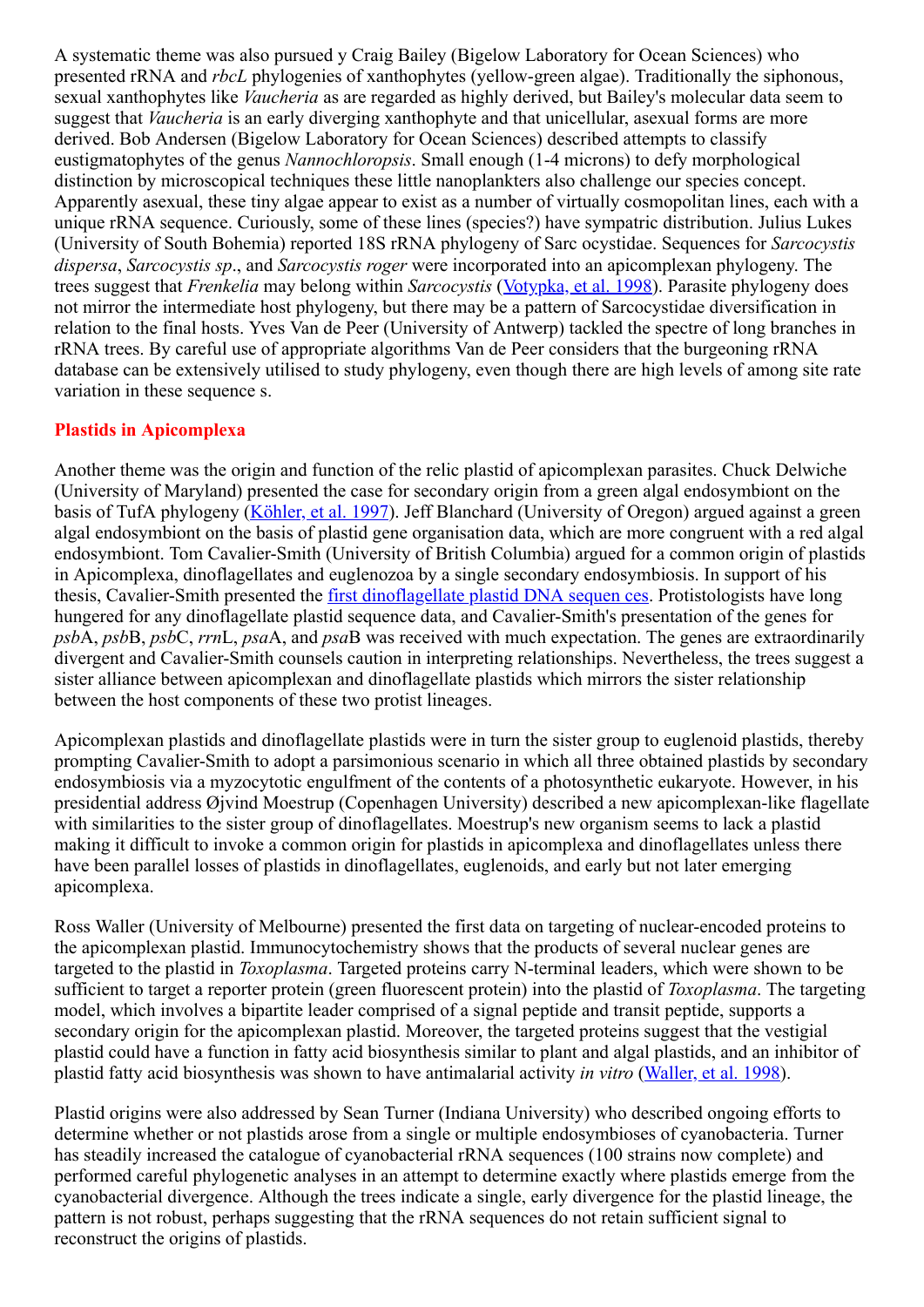A systematic theme was also pursued y Craig Bailey (Bigelow Laboratory for Ocean Sciences) who presented rRNA and *rbcL* phylogenies of xanthophytes (yellow-green algae). Traditionally the siphonous, sexual xanthophytes like *Vaucheria* as are regarded as highly derived, but Bailey's molecular data seem to suggest that *Vaucheria* is an early diverging xanthophyte and that unicellular, asexual forms are more derived. Bob Andersen (Bigelow Laboratory for Ocean Sciences) described attempts to classify eustigmatophytes of the genus *Nannochloropsis*. Small enough (1-4 microns) to defy morphological distinction by microscopical techniques these little nanoplankters also challenge our species concept. Apparently asexual, these tiny algae appear to exist as a number of virtually cosmopolitan lines, each with a unique rRNA sequence. Curiously, some of these lines (species?) have sympatric distribution. Julius Lukes (University of South Bohemia) reported 18S rRNA phylogeny of Sarc ocystidae. Sequences for *Sarcocystis dispersa*, *Sarcocystis sp*., and *Sarcocystis roger* were incorporated into an apicomplexan phylogeny. The trees suggest that *Frenkelia* may belong within *Sarcocystis* [\(Votypka, et al. 1998\)](http://megasun.bch.umontreal.ca/isep/protista.html#Votypka). Parasite phylogeny does not mirror the intermediate host phylogeny, but there may be a pattern of Sarcocystidae diversification in relation to the final hosts. Yves Van de Peer (University of Antwerp) tackled the spectre of long branches in rRNA trees. By careful use of appropriate algorithms Van de Peer considers that the burgeoning rRNA database can be extensively utilised to study phylogeny, even though there are high levels of among site rate variation in these sequence s.

## **Plastids in Apicomplexa**

Another theme was the origin and function of the relic plastid of apicomplexan parasites. Chuck Delwiche (University of Maryland) presented the case for secondary origin from a green algal endosymbiont on the basis of TufA phylogeny [\(Köhler, et al. 1997](http://megasun.bch.umontreal.ca/isep/protista.html#chuck)). Jeff Blanchard (University of Oregon) argued against a green algal endosymbiont on the basis of plastid gene organisation data, which are more congruent with a red algal endosymbiont. Tom Cavalier-Smith (University of British Columbia) argued for a common origin of plastids in Apicomplexa, dinoflagellates and euglenozoa by a single secondary endosymbiosis. In support of his thesis, Cavalier-Smith presented the [first dinoflagellate plastid DNA sequen ces](http://www.ncbi.nlm.nih.gov/htbin-post/Entrez/query?uid=10408440&form=6&db=m&Dopt=b). Protistologists have long hungered for any dinoflagellate plastid sequence data, and Cavalier-Smith's presentation of the genes for *psb*A, *psb*B, *psb*C, *rrn*L, *psa*A, and *psa*B was received with much expectation. The genes are extraordinarily divergent and Cavalier-Smith counsels caution in interpreting relationships. Nevertheless, the trees suggest a sister alliance between apicomplexan and dinoflagellate plastids which mirrors the sister relationship between the host components of these two protist lineages.

Apicomplexan plastids and dinoflagellate plastids were in turn the sister group to euglenoid plastids, thereby prompting Cavalier-Smith to adopt a parsimonious scenario in which all three obtained plastids by secondary endosymbiosis via a myzocytotic engulfment of the contents of a photosynthetic eukaryote. However, in his presidential address Øjvind Moestrup (Copenhagen University) described a new apicomplexan-like flagellate with similarities to the sister group of dinoflagellates. Moestrup's new organism seems to lack a plastid making it difficult to invoke a common origin for plastids in apicomplexa and dinoflagellates unless there have been parallel losses of plastids in dinoflagellates, euglenoids, and early but not later emerging apicomplexa.

Ross Waller (University of Melbourne) presented the first data on targeting of nuclear-encoded proteins to the apicomplexan plastid. Immunocytochemistry shows that the products of several nuclear genes are targeted to the plastid in *Toxoplasma*. Targeted proteins carry N-terminal leaders, which were shown to be sufficient to target a reporter protein (green fluorescent protein) into the plastid of *Toxoplasma*. The targeting model, which involves a bipartite leader comprised of a signal peptide and transit peptide, supports a secondary origin for the apicomplexan plastid. Moreover, the targeted proteins suggest that the vestigial plastid could have a function in fatty acid biosynthesis similar to plant and algal plastids, and an inhibitor of plastid fatty acid biosynthesis was shown to have antimalarial activity *in vitro* [\(Waller, et al. 1998\)](http://megasun.bch.umontreal.ca/isep/protista.html#Waller).

Plastid origins were also addressed by Sean Turner (Indiana University) who described ongoing efforts to determine whether or not plastids arose from a single or multiple endosymbioses of cyanobacteria. Turner has steadily increased the catalogue of cyanobacterial rRNA sequences (100 strains now complete) and performed careful phylogenetic analyses in an attempt to determine exactly where plastids emerge from the cyanobacterial divergence. Although the trees indicate a single, early divergence for the plastid lineage, the pattern is not robust, perhaps suggesting that the rRNA sequences do not retain sufficient signal to reconstruct the origins of plastids.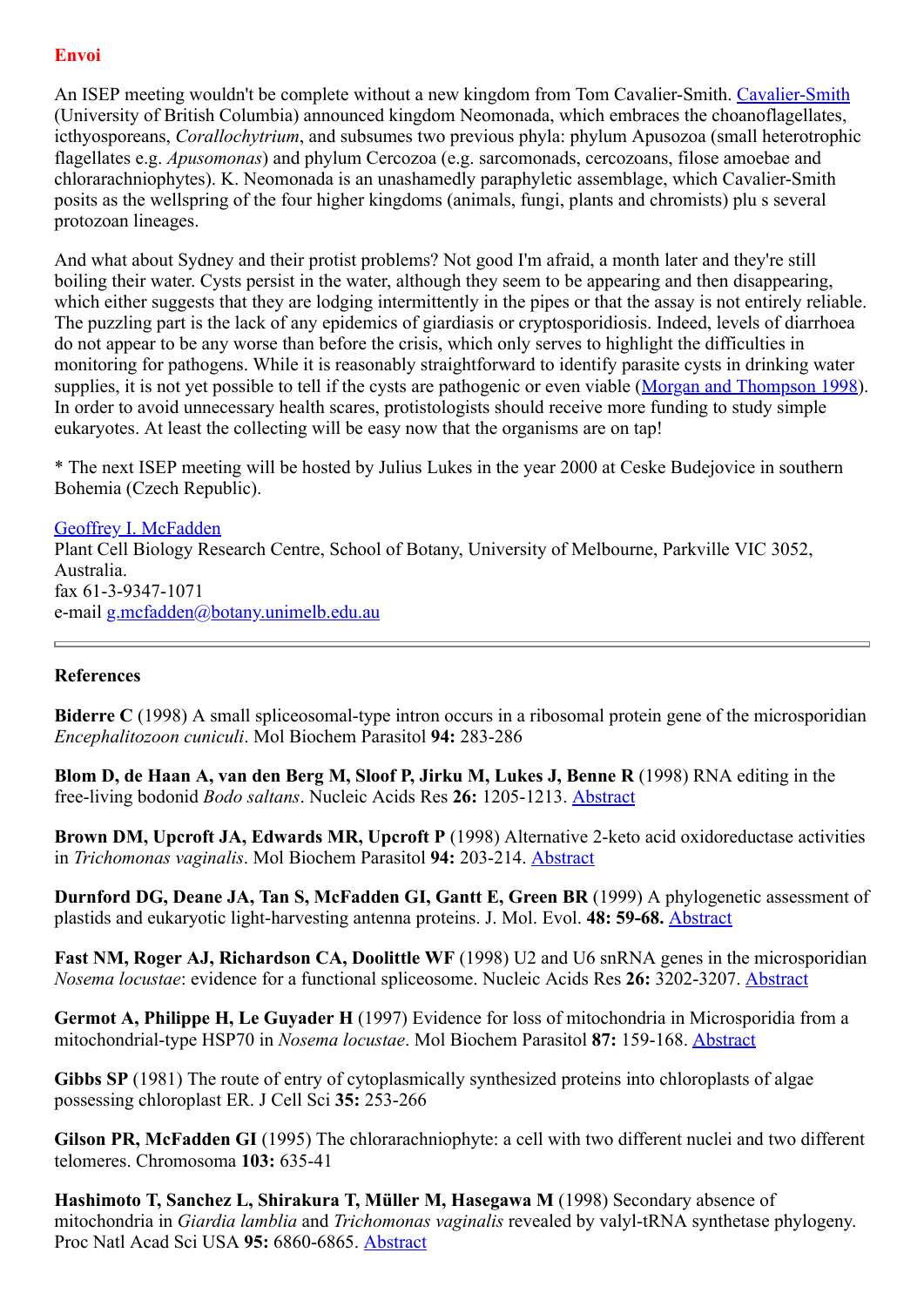## **Envoi**

An ISEP meeting wouldn't be complete without a new kingdom from Tom Cavalier-Smith. [Cavalier-Smith](http://www.ncbi.nlm.nih.gov/htbin-post/Entrez/query?uid=9809012&form=6&db=m&Dopt=b) (University of British Columbia) announced kingdom Neomonada, which embraces the choanoflagellates, icthyosporeans, *Corallochytrium*, and subsumes two previous phyla: phylum Apusozoa (small heterotrophic flagellates e.g. *Apusomonas*) and phylum Cercozoa (e.g. sarcomonads, cercozoans, filose amoebae and chlorarachniophytes). K. Neomonada is an unashamedly paraphyletic assemblage, which Cavalier-Smith posits as the wellspring of the four higher kingdoms (animals, fungi, plants and chromists) plu s several protozoan lineages.

And what about Sydney and their protist problems? Not good I'm afraid, a month later and they're still boiling their water. Cysts persist in the water, although they seem to be appearing and then disappearing, which either suggests that they are lodging intermittently in the pipes or that the assay is not entirely reliable. The puzzling part is the lack of any epidemics of giardiasis or cryptosporidiosis. Indeed, levels of diarrhoea do not appear to be any worse than before the crisis, which only serves to highlight the difficulties in monitoring for pathogens. While it is reasonably straightforward to identify parasite cysts in drinking water supplies, it is not yet possible to tell if the cysts are pathogenic or even viable [\(Morgan and Thompson 1998\)](http://megasun.bch.umontreal.ca/isep/protista.html#Morgan). In order to avoid unnecessary health scares, protistologists should receive more funding to study simple eukaryotes. At least the collecting will be easy now that the organisms are on tap!

\* The next ISEP meeting will be hosted by Julius Lukes in the year 2000 at Ceske Budejovice in southern Bohemia (Czech Republic).

[Geoffrey I. McFadden](http://www.plantcell.unimelb.edu.au/evolution.html) Plant Cell Biology Research Centre, School of Botany, University of Melbourne, Parkville VIC 3052, Australia. fax 61-3-9347-1071 e-mail [g.mcfadden@botany.unimelb.edu.au](mailto:g.mcfadden@botany.unimelb.edu.au)

# **References**

**Biderre C** (1998) A small spliceosomal-type intron occurs in a ribosomal protein gene of the microsporidian *Encephalitozoon cuniculi*. Mol Biochem Parasitol **94:** 283-286

**Blom D, de Haan A, van den Berg M, Sloof P, Jirku M, Lukes J, Benne R** (1998) RNA editing in the free-living bodonid *Bodo saltans*. Nucleic Acids Res **26:** 1205-1213. [Abstract](http://www.ncbi.nlm.nih.gov/htbin-post/Entrez/query?uid=9469817&form=6&db=m&Dopt=b)

**Brown DM, Upcroft JA, Edwards MR, Upcroft P** (1998) Alternative 2-keto acid oxidoreductase activities in *Trichomonas vaginalis*. Mol Biochem Parasitol **94:** 203-214. [Abstract](http://www.ncbi.nlm.nih.gov/htbin-post/Entrez/query?uid=10080389&form=6&db=m&Dopt=b)

**Durnford DG, Deane JA, Tan S, McFadden GI, Gantt E, Green BR** (1999) A phylogenetic assessment of plastids and eukaryotic light-harvesting antenna proteins. J. Mol. Evol. **48: 59-68.** [Abstract](http://www.ncbi.nlm.nih.gov/htbin-post/Entrez/query?uid=9873077&form=6&db=m&Dopt=b)

**Fast NM, Roger AJ, Richardson CA, Doolittle WF** (1998) U2 and U6 snRNA genes in the microsporidian *Nosema locustae*: evidence for a functional spliceosome. Nucleic Acids Res **26:** 3202-3207. [Abstract](http://www.ncbi.nlm.nih.gov/htbin-post/Entrez/query?uid=9628919&form=6&db=m&Dopt=b)

**Germot A, Philippe H, Le Guyader H** (1997) Evidence for loss of mitochondria in Microsporidia from a mitochondrial-type HSP70 in *Nosema locustae*. Mol Biochem Parasitol **87:** 159-168. [Abstract](http://www.ncbi.nlm.nih.gov/htbin-post/Entrez/query?uid=9247927&form=6&db=m&Dopt=b)

**Gibbs SP** (1981) The route of entry of cytoplasmically synthesized proteins into chloroplasts of algae possessing chloroplast ER. J Cell Sci **35:** 253-266

**Gilson PR, McFadden GI** (1995) The chlorarachniophyte: a cell with two different nuclei and two different telomeres. Chromosoma **103:** 635-41

**Hashimoto T, Sanchez L, Shirakura T, Müller M, Hasegawa M** (1998) Secondary absence of mitochondria in *Giardia lamblia* and *Trichomonas vaginalis* revealed by valyl-tRNA synthetase phylogeny. Proc Natl Acad Sci USA **95:** 6860-6865. [Abstract](http://www.ncbi.nlm.nih.gov/htbin-post/Entrez/query?uid=9618503&form=6&db=m&Dopt=b)